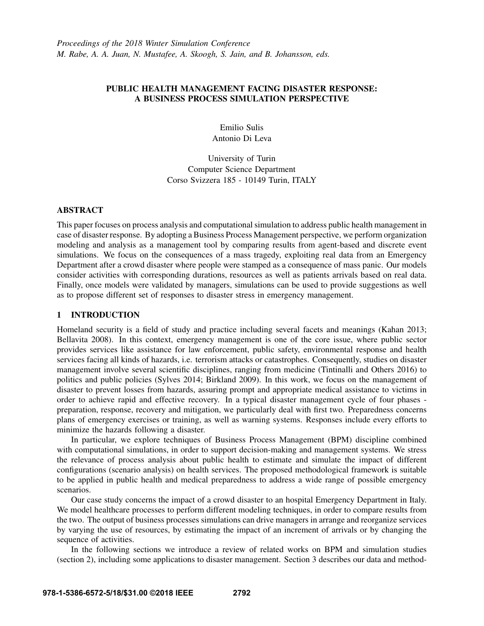## PUBLIC HEALTH MANAGEMENT FACING DISASTER RESPONSE: A BUSINESS PROCESS SIMULATION PERSPECTIVE

Emilio Sulis Antonio Di Leva

University of Turin Computer Science Department Corso Svizzera 185 - 10149 Turin, ITALY

#### ABSTRACT

This paper focuses on process analysis and computational simulation to address public health management in case of disaster response. By adopting a Business Process Management perspective, we perform organization modeling and analysis as a management tool by comparing results from agent-based and discrete event simulations. We focus on the consequences of a mass tragedy, exploiting real data from an Emergency Department after a crowd disaster where people were stamped as a consequence of mass panic. Our models consider activities with corresponding durations, resources as well as patients arrivals based on real data. Finally, once models were validated by managers, simulations can be used to provide suggestions as well as to propose different set of responses to disaster stress in emergency management.

# 1 INTRODUCTION

Homeland security is a field of study and practice including several facets and meanings (Kahan 2013; Bellavita 2008). In this context, emergency management is one of the core issue, where public sector provides services like assistance for law enforcement, public safety, environmental response and health services facing all kinds of hazards, i.e. terrorism attacks or catastrophes. Consequently, studies on disaster management involve several scientific disciplines, ranging from medicine (Tintinalli and Others 2016) to politics and public policies (Sylves 2014; Birkland 2009). In this work, we focus on the management of disaster to prevent losses from hazards, assuring prompt and appropriate medical assistance to victims in order to achieve rapid and effective recovery. In a typical disaster management cycle of four phases preparation, response, recovery and mitigation, we particularly deal with first two. Preparedness concerns plans of emergency exercises or training, as well as warning systems. Responses include every efforts to minimize the hazards following a disaster.

In particular, we explore techniques of Business Process Management (BPM) discipline combined with computational simulations, in order to support decision-making and management systems. We stress the relevance of process analysis about public health to estimate and simulate the impact of different configurations (scenario analysis) on health services. The proposed methodological framework is suitable to be applied in public health and medical preparedness to address a wide range of possible emergency scenarios.

Our case study concerns the impact of a crowd disaster to an hospital Emergency Department in Italy. We model healthcare processes to perform different modeling techniques, in order to compare results from the two. The output of business processes simulations can drive managers in arrange and reorganize services by varying the use of resources, by estimating the impact of an increment of arrivals or by changing the sequence of activities.

In the following sections we introduce a review of related works on BPM and simulation studies (section 2), including some applications to disaster management. Section 3 describes our data and method-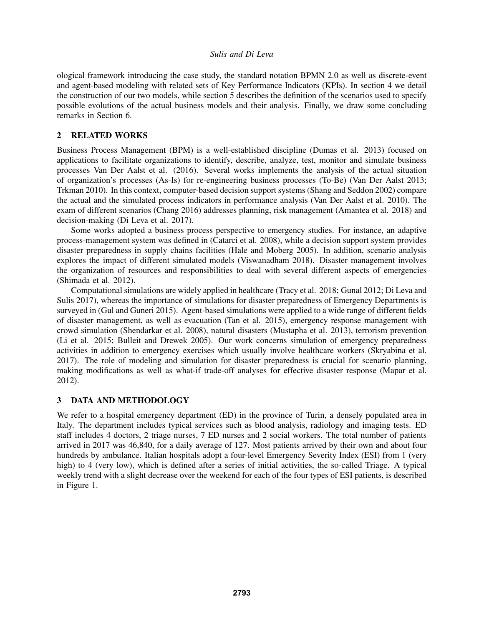ological framework introducing the case study, the standard notation BPMN 2.0 as well as discrete-event and agent-based modeling with related sets of Key Performance Indicators (KPIs). In section 4 we detail the construction of our two models, while section 5 describes the definition of the scenarios used to specify possible evolutions of the actual business models and their analysis. Finally, we draw some concluding remarks in Section 6.

## 2 RELATED WORKS

Business Process Management (BPM) is a well-established discipline (Dumas et al. 2013) focused on applications to facilitate organizations to identify, describe, analyze, test, monitor and simulate business processes Van Der Aalst et al. (2016). Several works implements the analysis of the actual situation of organization's processes (As-Is) for re-engineering business processes (To-Be) (Van Der Aalst 2013; Trkman 2010). In this context, computer-based decision support systems (Shang and Seddon 2002) compare the actual and the simulated process indicators in performance analysis (Van Der Aalst et al. 2010). The exam of different scenarios (Chang 2016) addresses planning, risk management (Amantea et al. 2018) and decision-making (Di Leva et al. 2017).

Some works adopted a business process perspective to emergency studies. For instance, an adaptive process-management system was defined in (Catarci et al. 2008), while a decision support system provides disaster preparedness in supply chains facilities (Hale and Moberg 2005). In addition, scenario analysis explores the impact of different simulated models (Viswanadham 2018). Disaster management involves the organization of resources and responsibilities to deal with several different aspects of emergencies (Shimada et al. 2012).

Computational simulations are widely applied in healthcare (Tracy et al. 2018; Gunal 2012; Di Leva and Sulis 2017), whereas the importance of simulations for disaster preparedness of Emergency Departments is surveyed in (Gul and Guneri 2015). Agent-based simulations were applied to a wide range of different fields of disaster management, as well as evacuation (Tan et al. 2015), emergency response management with crowd simulation (Shendarkar et al. 2008), natural disasters (Mustapha et al. 2013), terrorism prevention (Li et al. 2015; Bulleit and Drewek 2005). Our work concerns simulation of emergency preparedness activities in addition to emergency exercises which usually involve healthcare workers (Skryabina et al. 2017). The role of modeling and simulation for disaster preparedness is crucial for scenario planning, making modifications as well as what-if trade-off analyses for effective disaster response (Mapar et al. 2012).

# 3 DATA AND METHODOLOGY

We refer to a hospital emergency department (ED) in the province of Turin, a densely populated area in Italy. The department includes typical services such as blood analysis, radiology and imaging tests. ED staff includes 4 doctors, 2 triage nurses, 7 ED nurses and 2 social workers. The total number of patients arrived in 2017 was 46,840, for a daily average of 127. Most patients arrived by their own and about four hundreds by ambulance. Italian hospitals adopt a four-level Emergency Severity Index (ESI) from 1 (very high) to 4 (very low), which is defined after a series of initial activities, the so-called Triage. A typical weekly trend with a slight decrease over the weekend for each of the four types of ESI patients, is described in Figure 1.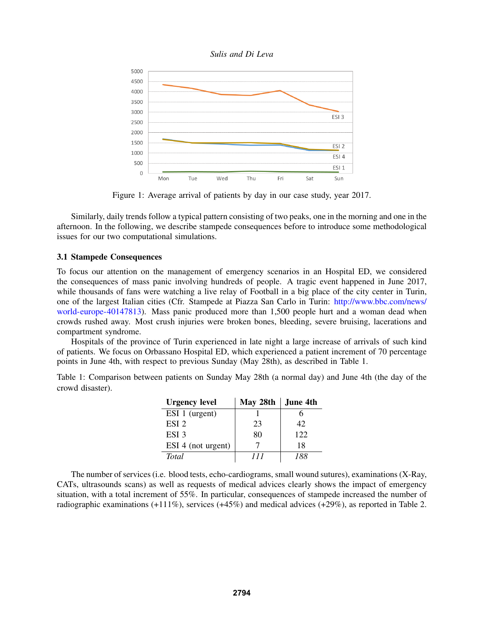



Figure 1: Average arrival of patients by day in our case study, year 2017.

Similarly, daily trends follow a typical pattern consisting of two peaks, one in the morning and one in the afternoon. In the following, we describe stampede consequences before to introduce some methodological issues for our two computational simulations.

### 3.1 Stampede Consequences

To focus our attention on the management of emergency scenarios in an Hospital ED, we considered the consequences of mass panic involving hundreds of people. A tragic event happened in June 2017, while thousands of fans were watching a live relay of Football in a big place of the city center in Turin, one of the largest Italian cities (Cfr. Stampede at Piazza San Carlo in Turin: http://www.bbc.com/news/ world-europe-40147813). Mass panic produced more than 1,500 people hurt and a woman dead when crowds rushed away. Most crush injuries were broken bones, bleeding, severe bruising, lacerations and compartment syndrome.

Hospitals of the province of Turin experienced in late night a large increase of arrivals of such kind of patients. We focus on Orbassano Hospital ED, which experienced a patient increment of 70 percentage points in June 4th, with respect to previous Sunday (May 28th), as described in Table 1.

Table 1: Comparison between patients on Sunday May 28th (a normal day) and June 4th (the day of the crowd disaster).

| <b>Urgency level</b> | May 28th | June 4th |
|----------------------|----------|----------|
| ESI 1 (urgent)       |          |          |
| ESI <sub>2</sub>     | 23       | 42       |
| ESI <sub>3</sub>     | 80       | 122.     |
| ESI 4 (not urgent)   |          | 18       |
| <b>Total</b>         | 111      | 188      |

The number of services (i.e. blood tests, echo-cardiograms, small wound sutures), examinations (X-Ray, CATs, ultrasounds scans) as well as requests of medical advices clearly shows the impact of emergency situation, with a total increment of 55%. In particular, consequences of stampede increased the number of radiographic examinations (+111%), services (+45%) and medical advices (+29%), as reported in Table 2.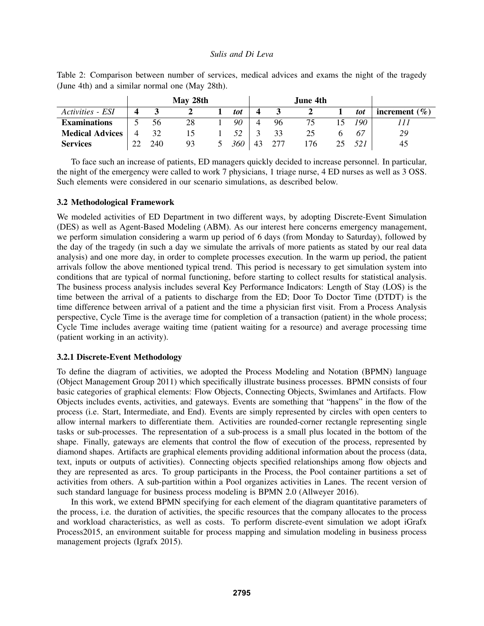|                        |    |     | May 28th |     |     | June 4th |     |                   |
|------------------------|----|-----|----------|-----|-----|----------|-----|-------------------|
| Activities - ESI       |    |     |          | tot |     |          | tot | increment $(\% )$ |
| <b>Examinations</b>    |    | 56  | 28       | 90  | 96  | 75       | 190 |                   |
| <b>Medical Advices</b> |    | 32  |          | 52  | 33  | 25       | 67  | 29                |
| <b>Services</b>        | っっ | 240 | 93       | 360 | 277 | 76       |     | 45                |

Table 2: Comparison between number of services, medical advices and exams the night of the tragedy (June 4th) and a similar normal one (May 28th).

To face such an increase of patients, ED managers quickly decided to increase personnel. In particular, the night of the emergency were called to work 7 physicians, 1 triage nurse, 4 ED nurses as well as 3 OSS. Such elements were considered in our scenario simulations, as described below.

#### 3.2 Methodological Framework

We modeled activities of ED Department in two different ways, by adopting Discrete-Event Simulation (DES) as well as Agent-Based Modeling (ABM). As our interest here concerns emergency management, we perform simulation considering a warm up period of 6 days (from Monday to Saturday), followed by the day of the tragedy (in such a day we simulate the arrivals of more patients as stated by our real data analysis) and one more day, in order to complete processes execution. In the warm up period, the patient arrivals follow the above mentioned typical trend. This period is necessary to get simulation system into conditions that are typical of normal functioning, before starting to collect results for statistical analysis. The business process analysis includes several Key Performance Indicators: Length of Stay (LOS) is the time between the arrival of a patients to discharge from the ED; Door To Doctor Time (DTDT) is the time difference between arrival of a patient and the time a physician first visit. From a Process Analysis perspective, Cycle Time is the average time for completion of a transaction (patient) in the whole process; Cycle Time includes average waiting time (patient waiting for a resource) and average processing time (patient working in an activity).

#### 3.2.1 Discrete-Event Methodology

To define the diagram of activities, we adopted the Process Modeling and Notation (BPMN) language (Object Management Group 2011) which specifically illustrate business processes. BPMN consists of four basic categories of graphical elements: Flow Objects, Connecting Objects, Swimlanes and Artifacts. Flow Objects includes events, activities, and gateways. Events are something that "happens" in the flow of the process (i.e. Start, Intermediate, and End). Events are simply represented by circles with open centers to allow internal markers to differentiate them. Activities are rounded-corner rectangle representing single tasks or sub-processes. The representation of a sub-process is a small plus located in the bottom of the shape. Finally, gateways are elements that control the flow of execution of the process, represented by diamond shapes. Artifacts are graphical elements providing additional information about the process (data, text, inputs or outputs of activities). Connecting objects specified relationships among flow objects and they are represented as arcs. To group participants in the Process, the Pool container partitions a set of activities from others. A sub-partition within a Pool organizes activities in Lanes. The recent version of such standard language for business process modeling is BPMN 2.0 (Allweyer 2016).

In this work, we extend BPMN specifying for each element of the diagram quantitative parameters of the process, i.e. the duration of activities, the specific resources that the company allocates to the process and workload characteristics, as well as costs. To perform discrete-event simulation we adopt iGrafx Process2015, an environment suitable for process mapping and simulation modeling in business process management projects (Igrafx 2015).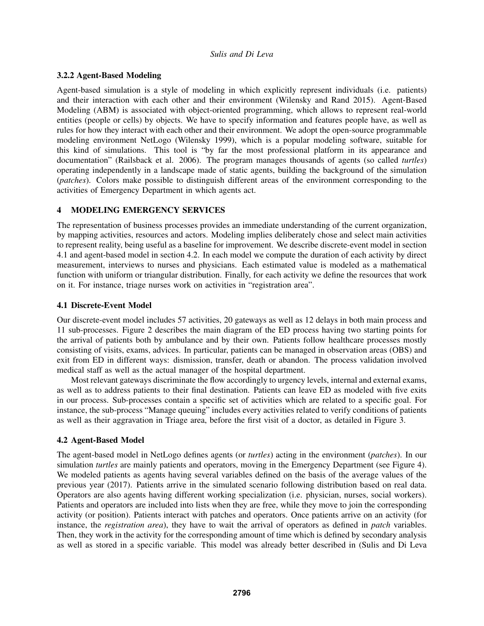## 3.2.2 Agent-Based Modeling

Agent-based simulation is a style of modeling in which explicitly represent individuals (i.e. patients) and their interaction with each other and their environment (Wilensky and Rand 2015). Agent-Based Modeling (ABM) is associated with object-oriented programming, which allows to represent real-world entities (people or cells) by objects. We have to specify information and features people have, as well as rules for how they interact with each other and their environment. We adopt the open-source programmable modeling environment NetLogo (Wilensky 1999), which is a popular modeling software, suitable for this kind of simulations. This tool is "by far the most professional platform in its appearance and documentation" (Railsback et al. 2006). The program manages thousands of agents (so called *turtles*) operating independently in a landscape made of static agents, building the background of the simulation (*patches*). Colors make possible to distinguish different areas of the environment corresponding to the activities of Emergency Department in which agents act.

## 4 MODELING EMERGENCY SERVICES

The representation of business processes provides an immediate understanding of the current organization, by mapping activities, resources and actors. Modeling implies deliberately chose and select main activities to represent reality, being useful as a baseline for improvement. We describe discrete-event model in section 4.1 and agent-based model in section 4.2. In each model we compute the duration of each activity by direct measurement, interviews to nurses and physicians. Each estimated value is modeled as a mathematical function with uniform or triangular distribution. Finally, for each activity we define the resources that work on it. For instance, triage nurses work on activities in "registration area".

## 4.1 Discrete-Event Model

Our discrete-event model includes 57 activities, 20 gateways as well as 12 delays in both main process and 11 sub-processes. Figure 2 describes the main diagram of the ED process having two starting points for the arrival of patients both by ambulance and by their own. Patients follow healthcare processes mostly consisting of visits, exams, advices. In particular, patients can be managed in observation areas (OBS) and exit from ED in different ways: dismission, transfer, death or abandon. The process validation involved medical staff as well as the actual manager of the hospital department.

Most relevant gateways discriminate the flow accordingly to urgency levels, internal and external exams, as well as to address patients to their final destination. Patients can leave ED as modeled with five exits in our process. Sub-processes contain a specific set of activities which are related to a specific goal. For instance, the sub-process "Manage queuing" includes every activities related to verify conditions of patients as well as their aggravation in Triage area, before the first visit of a doctor, as detailed in Figure 3.

# 4.2 Agent-Based Model

The agent-based model in NetLogo defines agents (or *turtles*) acting in the environment (*patches*). In our simulation *turtles* are mainly patients and operators, moving in the Emergency Department (see Figure 4). We modeled patients as agents having several variables defined on the basis of the average values of the previous year (2017). Patients arrive in the simulated scenario following distribution based on real data. Operators are also agents having different working specialization (i.e. physician, nurses, social workers). Patients and operators are included into lists when they are free, while they move to join the corresponding activity (or position). Patients interact with patches and operators. Once patients arrive on an activity (for instance, the *registration area*), they have to wait the arrival of operators as defined in *patch* variables. Then, they work in the activity for the corresponding amount of time which is defined by secondary analysis as well as stored in a specific variable. This model was already better described in (Sulis and Di Leva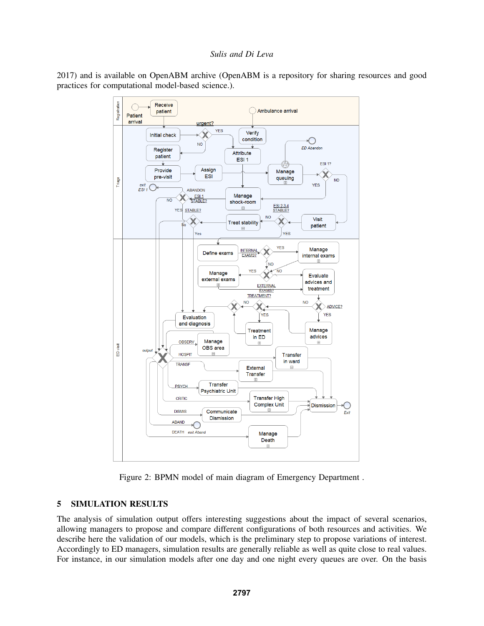



Figure 2: BPMN model of main diagram of Emergency Department .

# 5 SIMULATION RESULTS

The analysis of simulation output offers interesting suggestions about the impact of several scenarios, allowing managers to propose and compare different configurations of both resources and activities. We describe here the validation of our models, which is the preliminary step to propose variations of interest. Accordingly to ED managers, simulation results are generally reliable as well as quite close to real values. For instance, in our simulation models after one day and one night every queues are over. On the basis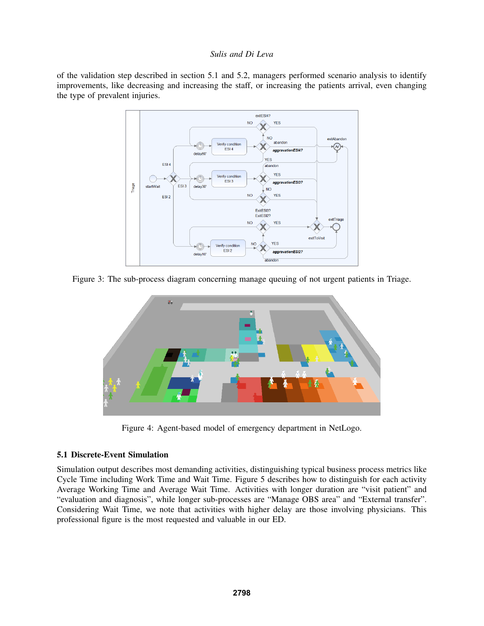of the validation step described in section 5.1 and 5.2, managers performed scenario analysis to identify improvements, like decreasing and increasing the staff, or increasing the patients arrival, even changing the type of prevalent injuries.



Figure 3: The sub-process diagram concerning manage queuing of not urgent patients in Triage.



Figure 4: Agent-based model of emergency department in NetLogo.

### 5.1 Discrete-Event Simulation

Simulation output describes most demanding activities, distinguishing typical business process metrics like Cycle Time including Work Time and Wait Time. Figure 5 describes how to distinguish for each activity Average Working Time and Average Wait Time. Activities with longer duration are "visit patient" and "evaluation and diagnosis", while longer sub-processes are "Manage OBS area" and "External transfer". Considering Wait Time, we note that activities with higher delay are those involving physicians. This professional figure is the most requested and valuable in our ED.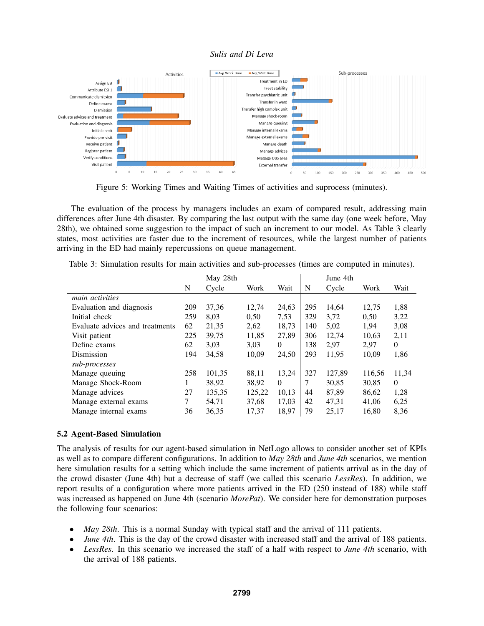

Figure 5: Working Times and Waiting Times of activities and suprocess (minutes).

The evaluation of the process by managers includes an exam of compared result, addressing main differences after June 4th disaster. By comparing the last output with the same day (one week before, May 28th), we obtained some suggestion to the impact of such an increment to our model. As Table 3 clearly states, most activities are faster due to the increment of resources, while the largest number of patients arriving in the ED had mainly repercussions on queue management.

|                                 |     | May 28th |        |          |     | June 4th |        |          |
|---------------------------------|-----|----------|--------|----------|-----|----------|--------|----------|
|                                 | N   | Cycle    | Work   | Wait     | N   | Cycle    | Work   | Wait     |
| main activities                 |     |          |        |          |     |          |        |          |
| Evaluation and diagnosis        | 209 | 37,36    | 12,74  | 24,63    | 295 | 14,64    | 12,75  | 1,88     |
| Initial check                   | 259 | 8,03     | 0,50   | 7,53     | 329 | 3,72     | 0.50   | 3,22     |
| Evaluate advices and treatments | 62  | 21,35    | 2,62   | 18,73    | 140 | 5,02     | 1,94   | 3,08     |
| Visit patient                   | 225 | 39,75    | 11,85  | 27,89    | 306 | 12,74    | 10,63  | 2,11     |
| Define exams                    | 62  | 3,03     | 3,03   | $\theta$ | 138 | 2,97     | 2,97   | $\theta$ |
| Dismission                      | 194 | 34,58    | 10,09  | 24,50    | 293 | 11,95    | 10,09  | 1,86     |
| sub-processes                   |     |          |        |          |     |          |        |          |
| Manage queuing                  | 258 | 101,35   | 88,11  | 13,24    | 327 | 127,89   | 116,56 | 11,34    |
| Manage Shock-Room               |     | 38,92    | 38,92  | $\Omega$ | 7   | 30,85    | 30,85  | $\Omega$ |
| Manage advices                  | 27  | 135,35   | 125,22 | 10,13    | 44  | 87,89    | 86,62  | 1,28     |
| Manage external exams           | 7   | 54,71    | 37.68  | 17.03    | 42  | 47,31    | 41,06  | 6,25     |
| Manage internal exams           | 36  | 36,35    | 17,37  | 18,97    | 79  | 25,17    | 16,80  | 8.36     |

| Table 3: Simulation results for main activities and sub-processes (times are computed in minutes). |  |  |
|----------------------------------------------------------------------------------------------------|--|--|
|----------------------------------------------------------------------------------------------------|--|--|

### 5.2 Agent-Based Simulation

The analysis of results for our agent-based simulation in NetLogo allows to consider another set of KPIs as well as to compare different configurations. In addition to *May 28th* and *June 4th* scenarios, we mention here simulation results for a setting which include the same increment of patients arrival as in the day of the crowd disaster (June 4th) but a decrease of staff (we called this scenario *LessRes*). In addition, we report results of a configuration where more patients arrived in the ED (250 instead of 188) while staff was increased as happened on June 4th (scenario *MorePat*). We consider here for demonstration purposes the following four scenarios:

- *May 28th*. This is a normal Sunday with typical staff and the arrival of 111 patients.
- *June 4th*. This is the day of the crowd disaster with increased staff and the arrival of 188 patients.
- *LessRes*. In this scenario we increased the staff of a half with respect to *June 4th* scenario, with the arrival of 188 patients.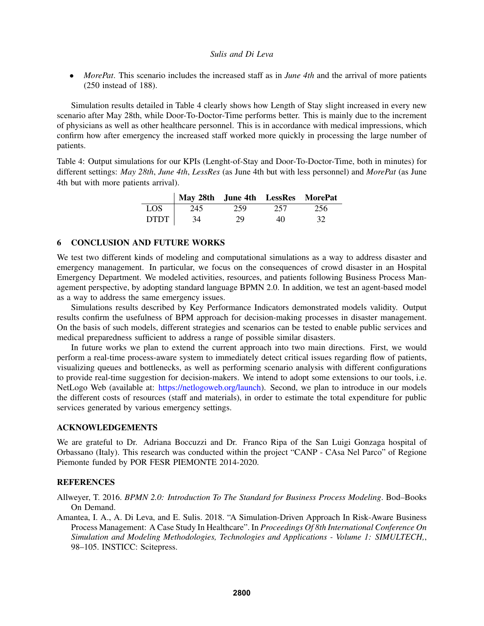• *MorePat*. This scenario includes the increased staff as in *June 4th* and the arrival of more patients (250 instead of 188).

Simulation results detailed in Table 4 clearly shows how Length of Stay slight increased in every new scenario after May 28th, while Door-To-Doctor-Time performs better. This is mainly due to the increment of physicians as well as other healthcare personnel. This is in accordance with medical impressions, which confirm how after emergency the increased staff worked more quickly in processing the large number of patients.

Table 4: Output simulations for our KPIs (Lenght-of-Stay and Door-To-Doctor-Time, both in minutes) for different settings: *May 28th*, *June 4th*, *LessRes* (as June 4th but with less personnel) and *MorePat* (as June 4th but with more patients arrival).

|             | May 28th June 4th LessRes MorePat |     |     |     |
|-------------|-----------------------------------|-----|-----|-----|
| LOS         | 245                               | 259 | 257 | 256 |
| <b>DTDT</b> | 34                                | 29  | 40  | 32  |

#### 6 CONCLUSION AND FUTURE WORKS

We test two different kinds of modeling and computational simulations as a way to address disaster and emergency management. In particular, we focus on the consequences of crowd disaster in an Hospital Emergency Department. We modeled activities, resources, and patients following Business Process Management perspective, by adopting standard language BPMN 2.0. In addition, we test an agent-based model as a way to address the same emergency issues.

Simulations results described by Key Performance Indicators demonstrated models validity. Output results confirm the usefulness of BPM approach for decision-making processes in disaster management. On the basis of such models, different strategies and scenarios can be tested to enable public services and medical preparedness sufficient to address a range of possible similar disasters.

In future works we plan to extend the current approach into two main directions. First, we would perform a real-time process-aware system to immediately detect critical issues regarding flow of patients, visualizing queues and bottlenecks, as well as performing scenario analysis with different configurations to provide real-time suggestion for decision-makers. We intend to adopt some extensions to our tools, i.e. NetLogo Web (available at: https://netlogoweb.org/launch). Second, we plan to introduce in our models the different costs of resources (staff and materials), in order to estimate the total expenditure for public services generated by various emergency settings.

### ACKNOWLEDGEMENTS

We are grateful to Dr. Adriana Boccuzzi and Dr. Franco Ripa of the San Luigi Gonzaga hospital of Orbassano (Italy). This research was conducted within the project "CANP - CAsa Nel Parco" of Regione Piemonte funded by POR FESR PIEMONTE 2014-2020.

### **REFERENCES**

Allweyer, T. 2016. *BPMN 2.0: Introduction To The Standard for Business Process Modeling*. Bod–Books On Demand.

Amantea, I. A., A. Di Leva, and E. Sulis. 2018. "A Simulation-Driven Approach In Risk-Aware Business Process Management: A Case Study In Healthcare". In *Proceedings Of 8th International Conference On Simulation and Modeling Methodologies, Technologies and Applications - Volume 1: SIMULTECH,*, 98–105. INSTICC: Scitepress.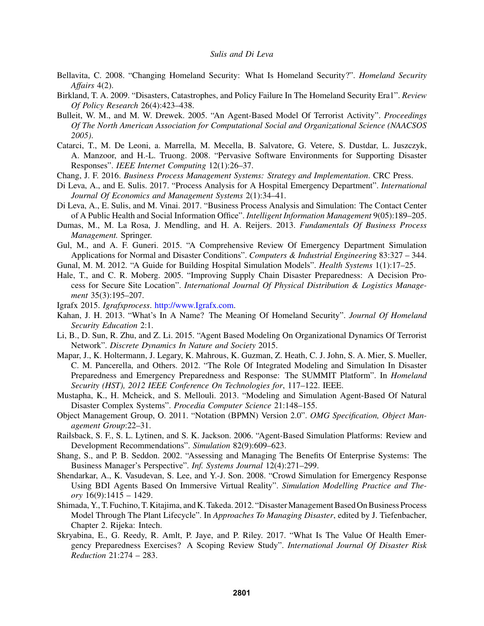- Bellavita, C. 2008. "Changing Homeland Security: What Is Homeland Security?". *Homeland Security Affairs* 4(2).
- Birkland, T. A. 2009. "Disasters, Catastrophes, and Policy Failure In The Homeland Security Era1". *Review Of Policy Research* 26(4):423–438.
- Bulleit, W. M., and M. W. Drewek. 2005. "An Agent-Based Model Of Terrorist Activity". *Proceedings Of The North American Association for Computational Social and Organizational Science (NAACSOS 2005)*.
- Catarci, T., M. De Leoni, a. Marrella, M. Mecella, B. Salvatore, G. Vetere, S. Dustdar, L. Juszczyk, A. Manzoor, and H.-L. Truong. 2008. "Pervasive Software Environments for Supporting Disaster Responses". *IEEE Internet Computing* 12(1):26–37.
- Chang, J. F. 2016. *Business Process Management Systems: Strategy and Implementation*. CRC Press.
- Di Leva, A., and E. Sulis. 2017. "Process Analysis for A Hospital Emergency Department". *International Journal Of Economics and Management Systems* 2(1):34–41.
- Di Leva, A., E. Sulis, and M. Vinai. 2017. "Business Process Analysis and Simulation: The Contact Center of A Public Health and Social Information Office". *Intelligent Information Management* 9(05):189–205.
- Dumas, M., M. La Rosa, J. Mendling, and H. A. Reijers. 2013. *Fundamentals Of Business Process Management.* Springer.
- Gul, M., and A. F. Guneri. 2015. "A Comprehensive Review Of Emergency Department Simulation Applications for Normal and Disaster Conditions". *Computers & Industrial Engineering* 83:327 – 344.
- Gunal, M. M. 2012. "A Guide for Building Hospital Simulation Models". *Health Systems* 1(1):17–25.
- Hale, T., and C. R. Moberg. 2005. "Improving Supply Chain Disaster Preparedness: A Decision Process for Secure Site Location". *International Journal Of Physical Distribution & Logistics Management* 35(3):195–207.
- Igrafx 2015. *Igrafxprocess*. http://www.Igrafx.com.
- Kahan, J. H. 2013. "What's In A Name? The Meaning Of Homeland Security". *Journal Of Homeland Security Education* 2:1.
- Li, B., D. Sun, R. Zhu, and Z. Li. 2015. "Agent Based Modeling On Organizational Dynamics Of Terrorist Network". *Discrete Dynamics In Nature and Society* 2015.
- Mapar, J., K. Holtermann, J. Legary, K. Mahrous, K. Guzman, Z. Heath, C. J. John, S. A. Mier, S. Mueller, C. M. Pancerella, and Others. 2012. "The Role Of Integrated Modeling and Simulation In Disaster Preparedness and Emergency Preparedness and Response: The SUMMIT Platform". In *Homeland Security (HST), 2012 IEEE Conference On Technologies for*, 117–122. IEEE.
- Mustapha, K., H. Mcheick, and S. Mellouli. 2013. "Modeling and Simulation Agent-Based Of Natural Disaster Complex Systems". *Procedia Computer Science* 21:148–155.
- Object Management Group, O. 2011. "Notation (BPMN) Version 2.0". *OMG Specification, Object Management Group*:22–31.
- Railsback, S. F., S. L. Lytinen, and S. K. Jackson. 2006. "Agent-Based Simulation Platforms: Review and Development Recommendations". *Simulation* 82(9):609–623.
- Shang, S., and P. B. Seddon. 2002. "Assessing and Managing The Benefits Of Enterprise Systems: The Business Manager's Perspective". *Inf. Systems Journal* 12(4):271–299.
- Shendarkar, A., K. Vasudevan, S. Lee, and Y.-J. Son. 2008. "Crowd Simulation for Emergency Response Using BDI Agents Based On Immersive Virtual Reality". *Simulation Modelling Practice and Theory* 16(9):1415 – 1429.
- Shimada, Y., T. Fuchino, T. Kitajima, and K. Takeda. 2012. "DisasterManagement Based On Business Process Model Through The Plant Lifecycle". In *Approaches To Managing Disaster*, edited by J. Tiefenbacher, Chapter 2. Rijeka: Intech.
- Skryabina, E., G. Reedy, R. Amlt, P. Jaye, and P. Riley. 2017. "What Is The Value Of Health Emergency Preparedness Exercises? A Scoping Review Study". *International Journal Of Disaster Risk Reduction* 21:274 – 283.